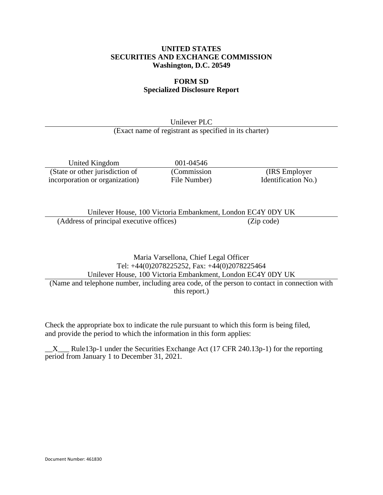## **UNITED STATES SECURITIES AND EXCHANGE COMMISSION Washington, D.C. 20549**

## **FORM SD Specialized Disclosure Report**

Unilever PLC (Exact name of registrant as specified in its charter)

United Kingdom 001-04546 (State or other jurisdiction of incorporation or organization)

(Commission File Number)

(IRS Employer Identification No.)

Unilever House, 100 Victoria Embankment, London EC4Y 0DY UK (Address of principal executive offices) (Zip code)

Maria Varsellona, Chief Legal Officer Tel: +44(0)2078225252, Fax: +44(0)2078225464 Unilever House, 100 Victoria Embankment, London EC4Y 0DY UK (Name and telephone number, including area code, of the person to contact in connection with this report.)

Check the appropriate box to indicate the rule pursuant to which this form is being filed, and provide the period to which the information in this form applies:

 $\_X$  Rule13p-1 under the Securities Exchange Act (17 CFR 240.13p-1) for the reporting period from January 1 to December 31, 2021.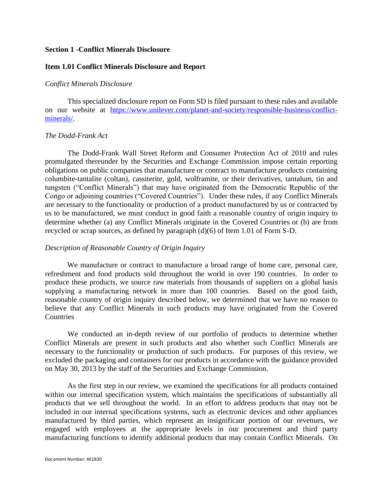## **Section 1 -Conflict Minerals Disclosure**

## **Item 1.01 Conflict Minerals Disclosure and Report**

## *Conflict Minerals Disclosure*

This specialized disclosure report on Form SD is filed pursuant to these rules and available on our website at [https://www.unilever.com/planet-and-society/responsible-business/conflict](https://www.unilever.com/planet-and-society/responsible-business/conflict-minerals/)[minerals/.](https://www.unilever.com/planet-and-society/responsible-business/conflict-minerals/)

#### *The Dodd-Frank Act*

The Dodd-Frank Wall Street Reform and Consumer Protection Act of 2010 and rules promulgated thereunder by the Securities and Exchange Commission impose certain reporting obligations on public companies that manufacture or contract to manufacture products containing columbite-tantalite (coltan), cassiterite, gold, wolframite, or their derivatives, tantalum, tin and tungsten ("Conflict Minerals") that may have originated from the Democratic Republic of the Congo or adjoining countries ("Covered Countries"). Under these rules, if any Conflict Minerals are necessary to the functionality or production of a product manufactured by us or contracted by us to be manufactured, we must conduct in good faith a reasonable country of origin inquiry to determine whether (a) any Conflict Minerals originate in the Covered Countries or (b) are from recycled or scrap sources, as defined by paragraph (d)(6) of Item 1.01 of Form S-D.

## *Description of Reasonable Country of Origin Inquiry*

We manufacture or contract to manufacture a broad range of home care, personal care, refreshment and food products sold throughout the world in over 190 countries. In order to produce these products, we source raw materials from thousands of suppliers on a global basis supplying a manufacturing network in more than 100 countries. Based on the good faith, reasonable country of origin inquiry described below, we determined that we have no reason to believe that any Conflict Minerals in such products may have originated from the Covered **Countries** 

We conducted an in-depth review of our portfolio of products to determine whether Conflict Minerals are present in such products and also whether such Conflict Minerals are necessary to the functionality or production of such products. For purposes of this review, we excluded the packaging and containers for our products in accordance with the guidance provided on May 30, 2013 by the staff of the Securities and Exchange Commission.

As the first step in our review, we examined the specifications for all products contained within our internal specification system, which maintains the specifications of substantially all products that we sell throughout the world. In an effort to address products that may not be included in our internal specifications systems, such as electronic devices and other appliances manufactured by third parties, which represent an insignificant portion of our revenues, we engaged with employees at the appropriate levels in our procurement and third party manufacturing functions to identify additional products that may contain Conflict Minerals. On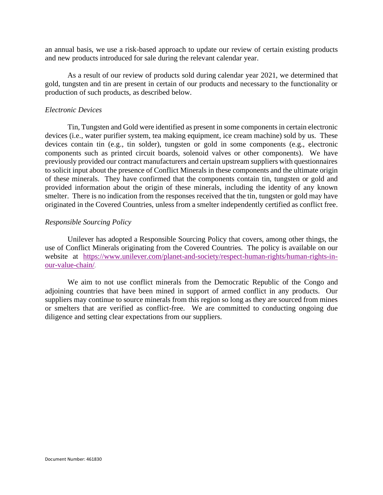an annual basis, we use a risk-based approach to update our review of certain existing products and new products introduced for sale during the relevant calendar year.

As a result of our review of products sold during calendar year 2021, we determined that gold, tungsten and tin are present in certain of our products and necessary to the functionality or production of such products, as described below.

## *Electronic Devices*

Tin, Tungsten and Gold were identified as present in some components in certain electronic devices (i.e., water purifier system, tea making equipment, ice cream machine) sold by us. These devices contain tin (e.g., tin solder), tungsten or gold in some components (e.g., electronic components such as printed circuit boards, solenoid valves or other components). We have previously provided our contract manufacturers and certain upstream suppliers with questionnaires to solicit input about the presence of Conflict Minerals in these components and the ultimate origin of these minerals. They have confirmed that the components contain tin, tungsten or gold and provided information about the origin of these minerals, including the identity of any known smelter. There is no indication from the responses received that the tin, tungsten or gold may have originated in the Covered Countries, unless from a smelter independently certified as conflict free.

## *Responsible Sourcing Policy*

Unilever has adopted a Responsible Sourcing Policy that covers, among other things, the use of Conflict Minerals originating from the Covered Countries. The policy is available on our website at [https://www.unilever.com/planet-and-society/respect-human-rights/human-rights-in](https://www.unilever.com/planet-and-society/respect-human-rights/human-rights-in-our-value-chain/)[our-value-chain/](https://www.unilever.com/planet-and-society/respect-human-rights/human-rights-in-our-value-chain/).

We aim to not use conflict minerals from the Democratic Republic of the Congo and adjoining countries that have been mined in support of armed conflict in any products. Our suppliers may continue to source minerals from this region so long as they are sourced from mines or smelters that are verified as conflict-free. We are committed to conducting ongoing due diligence and setting clear expectations from our suppliers.